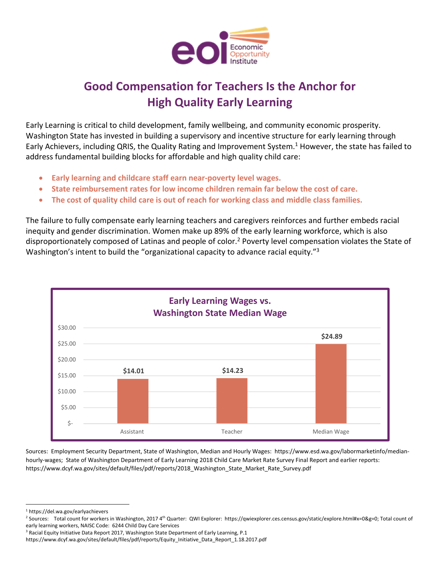

## **Good Compensation for Teachers Is the Anchor for High Quality Early Learning**

Early Learning is critical to child development, family wellbeing, and community economic prosperity. Washington State has invested in building a supervisory and incentive structure for early learning through Early Achievers, including QRIS, the Quality Rating and Improvement System.<sup>1</sup> However, the state has failed to address fundamental building blocks for affordable and high quality child care:

- **Early learning and childcare staff earn near‐poverty level wages.**
- **State reimbursement rates for low income children remain far below the cost of care.**
- **The cost of quality child care is out of reach for working class and middle class families.**

The failure to fully compensate early learning teachers and caregivers reinforces and further embeds racial inequity and gender discrimination. Women make up 89% of the early learning workforce, which is also disproportionately composed of Latinas and people of color.2 Poverty level compensation violates the State of Washington's intent to build the "organizational capacity to advance racial equity."<sup>3</sup>



Sources: Employment Security Department, State of Washington, Median and Hourly Wages: https://www.esd.wa.gov/labormarketinfo/median‐ hourly-wages; State of Washington Department of Early Learning 2018 Child Care Market Rate Survey Final Report and earlier reports: https://www.dcyf.wa.gov/sites/default/files/pdf/reports/2018 Washington State Market Rate Survey.pdf

<sup>1</sup> https://del.wa.gov/earlyachievers

<sup>&</sup>lt;sup>2</sup> Sources: Total count for workers in Washington, 2017 4<sup>th</sup> Quarter: QWI Explorer: https://qwiexplorer.ces.census.gov/static/explore.html#x=0&g=0; Total count of early learning workers, NAISC Code: 6244 Child Day Care Services

<sup>&</sup>lt;sup>3</sup> Racial Equity Initiative Data Report 2017, Washington State Department of Early Learning, P.1

https://www.dcyf.wa.gov/sites/default/files/pdf/reports/Equity\_Initiative\_Data\_Report\_1.18.2017.pdf